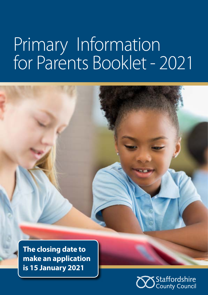# Primary Information for Parents Booklet - 2021



**make an application is 15 January 2021**

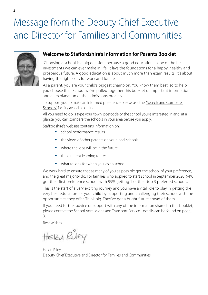## Message from the Deputy Chief Executive and Director for Families and Communities



### **Welcome to Staffordshire's Information for Parents Booklet**

 Choosing a school is a big decision; because a good education is one of the best investments we can ever make in life. It lays the foundations for a happy, healthy and prosperous future. A good education is about much more than exam results, it's about having the right skills for work and for life.

As a parent, you are your child's biggest champion. You know them best, so to help you choose their school we've pulled together this booklet of important information and an explanation of the admissions process.

To support you to make an informed preference please use the ['Search and Compare](https://apps2.staffordshire.gov.uk/scc/schooldetails/default.aspx)  [Schools'](https://apps2.staffordshire.gov.uk/scc/schooldetails/default.aspx) facility available online.

All you need to do is type your town, postcode or the school you're interested in and, at a glance, you can compare the schools in your area before you apply.

Staffordshire's website contains information on:

- $\bullet$ school performance results
- the views of other parents on your local schools
- where the jobs will be in the future
- the different learning routes
- what to look for when you visit a school

We work hard to ensure that as many of you as possible get the school of your preference, and the great majority do. For families who applied to start school in September 2020, 94% got their first preference school, with 99% getting 1 of their top 3 preferred schools.

This is the start of a very exciting journey and you have a vital role to play in getting the very best education for your child by supporting and challenging their school with the opportunities they offer. Think big. They've got a bright future ahead of them.

If you need further advice or support with any of the information shared in this booklet, please contact the School Admissions and Transport Service - details can be found on [page](#page-2-0)  [3.](#page-2-0)

Best wishes

HEKY Riley

Helen Riley Deputy Chief Executive and Director for Families and Communities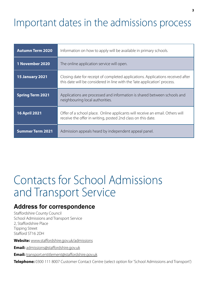## <span id="page-2-0"></span>Important dates in the admissions process

| <b>Autumn Term 2020</b> | Information on how to apply will be available in primary schools.                                                                                            |
|-------------------------|--------------------------------------------------------------------------------------------------------------------------------------------------------------|
| 1 November 2020         | The online application service will open.                                                                                                                    |
| <b>15 January 2021</b>  | Closing date for receipt of completed applications. Applications received after<br>this date will be considered in line with the 'late application' process. |
| <b>Spring Term 2021</b> | Applications are processed and information is shared between schools and<br>neighbouring local authorities.                                                  |
| <b>16 April 2021</b>    | Offer of a school place. Online applicants will receive an email. Others will<br>receive the offer in writing, posted 2nd class on this date.                |
| <b>Summer Term 2021</b> | Admission appeals heard by independent appeal panel.                                                                                                         |

## Contacts for School Admissions and Transport Service

### **Address for correspondence**

Staffordshire County Council School Admissions and Transport Service 2, Staffordshire Place Tipping Street Stafford ST16 2DH

**Website:** [www.staffordshire.gov.uk/admissions](http://www.staffordshire.gov.uk/admissions)

**Email:** [admissions@staffordshire.gov.uk](mailto:admissions%40staffordshire.gov.uk?subject=)

**Email:** [transport.entitlement@staffordshire.gov.uk](mailto:transport.entitlement%40staffordshire.gov.uk?subject=)

**Telephone:** 0300 111 8007 Customer Contact Centre (select option for 'School Admissions and Transport')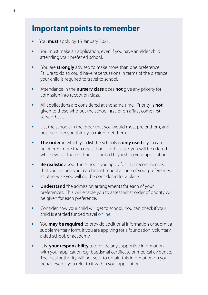### <span id="page-3-0"></span>**Important points to remember**

- You **must** apply by 15 January 2021.
- You must make an application, even if you have an elder child  $\bullet$ attending your preferred school.
- You are **strongly** advised to make more than one preference.  $\bullet$ Failure to do so could have repercussions in terms of the distance your child is required to travel to school.
- Attendance in the **nursery class** does **not** give any priority for  $\bullet$ admission into reception class.
- $\bullet$ All applications are considered at the same time. Priority is **not** given to those who put the school first, or on a 'first come first served' basis.
- List the schools in the order that you would most prefer them, and  $\bullet$ not the order you think you might get them.
- **The order** in which you list the schools is **only used** if you can  $\bullet$ be offered more than one school. In this case, you will be offered whichever of those schools is ranked highest on your application.
- $\bullet$ **Be realistic** about the schools you apply for. It is recommended that you include your catchment school as one of your preferences, as otherwise you will not be considered for a place.
- **Understand** the admission arrangements for each of your  $\bullet$ preferences. This will enable you to assess what order of priority will be given for each preference.
- Consider how your child will get to school. You can check if your  $\bullet$ child is entitled funded travel [online.](https://www.staffordshire.gov.uk/Education/Schooltransport/Under-16s/Overview.aspx)
- You **may be required** to provide additional information or submit a  $\bullet$ supplementary form, if you are applying for a foundation, voluntary aided school, or academy.
- It is **your responsibility** to provide any supportive information  $\bullet$ with your application e.g baptismal certificate or medical evidence. The local authority will not seek to obtain this information on your behalf even if you refer to it within your application.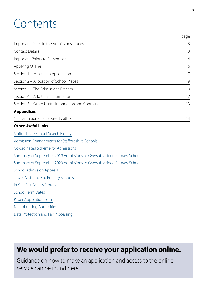## <span id="page-4-0"></span>Contents

|                                                                        | page           |
|------------------------------------------------------------------------|----------------|
| Important Dates in the Admissions Process                              | $\mathcal{E}$  |
| <b>Contact Details</b>                                                 | 3              |
| Important Points to Remember                                           | $\overline{4}$ |
| Applying Online                                                        | 6              |
| Section 1 - Making an Application                                      | $\overline{7}$ |
| Section 2 - Allocation of School Places                                | $\overline{9}$ |
| Section 3 - The Admissions Process                                     | 10             |
| Section 4 - Additional Information                                     | 12             |
| Section 5 - Other Useful Information and Contacts                      | 13             |
| <b>Appendices</b>                                                      |                |
| Definition of a Baptised Catholic<br>1                                 | 14             |
| <b>Other Useful Links</b>                                              |                |
| Staffordshire School Search Facility                                   |                |
| Admission Arrangements for Staffordshire Schools                       |                |
| Co-ordinated Scheme for Admissions                                     |                |
| Summary of September 2019 Admissions to Oversubscribed Primary Schools |                |
| Summary of September 2020 Admissions to Oversubscribed Primary Schools |                |
| <b>School Admission Appeals</b>                                        |                |
| <b>Travel Assistance to Primary Schools</b>                            |                |
| In Year Fair Access Protocol                                           |                |
| <b>School Term Dates</b>                                               |                |
| Paper Application Form                                                 |                |
| Neighbouring Authorities                                               |                |
| Data Protection and Fair Processing                                    |                |

## **We would prefer to receive your application online.**

Guidance on how to make an application and access to the online service can be found [here](https://www.staffordshire.gov.uk/Education/home.aspx).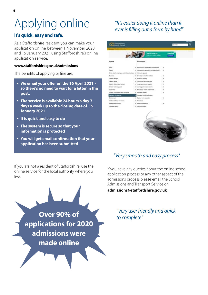## <span id="page-5-0"></span>Applying online

### **It's quick, easy and safe.**

As a Staffordshire resident you can make your application online between 1 November 2020 and 15 January 2021 using Staffordshire's online application service.

### **www.staffordshire.gov.uk/admissions**

The benefits of applying online are:

- **We email your offer on the 16 April 2021 so there's no need to wait for a letter in the post.**
- **The service is available 24 hours a day 7 days a week up to the closing date of 15 January 2021**
- **It is quick and easy to do**
- **The system is secure so that your information is protected**
- **You will get email confirmation that your application has been submitted**

If you are not a resident of Staffordshire, use the online service for the local authority where you live.



### *"It's easier doing it online than it ever is filling out a form by hand"*



### *"Very smooth and easy process"*

If you have any queries about the online school application process or any other aspect of the admissions process please email the School Admissions and Transport Service on:

**[admissions@staffordshire.gov.uk](mailto:admissions%40staffordshire.gov.uk?subject=)**

*"Very user friendly and quick to complete"*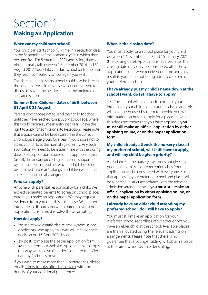## <span id="page-6-0"></span>Section 1 **Making an Application**

### **When can my child start school?**

Your child can start school full-time in a reception class in the September of the academic year in which they become five. For September 2021 admission, dates of birth normally fall between 1 September 2016 and 31 August 2017. Your child can start school part-time until they reach compulsory school age if you wish.

The date your child starts school could also be later in the academic year. In this case we encourage you to discuss this with the headteacher of the preferred or allocated school.

### **Summer Born Children (dates of birth between 01 April & 31 August)**

Parents who choose not to send their child to school until they have reached compulsory school age, where this would ordinarily mean entry into Year 1, have the right to apply for admission into Reception. Please note that a space cannot be kept available in the correct chronological age group for a year if you choose not to admit your child at the normal age of entry. Any such application will need to be made in line with the closing date for Reception admissions for the appropriate year (usually 15 January preceding admission) supported by information that outlines why the child should not be admitted into Year 1, alongside children within the correct chronological year group.

### **Who can apply?**

Anyone with parental responsibility for a child. We expect separated parents to agree on school places before you make an application. We may request evidence from you that this is the case. We cannot intervene in disputes between parents over school applications. You must resolve these privately.

### **How do I apply?**

- online at [www.staffordshire.gov.uk/admissions](http://www.staffordshire.gov.uk/admissions). Applicants who apply this way will receive their decision on 16 April 2021 by email.
- By post: complete the [paper application form](https://www.staffordshire.gov.uk/Education/Admissions-primary/Apply/Application-forms-for-admission-to-school.aspx) available from our website. Applicants who apply this way will receive their decision after the offer date by 2nd class post.

If you wish to make more than 3 preferences, please email: [admissions@stafforshire.gov.uk](mailto:admissions%40stafforshire.gov.uk?subject=) with the details of your additional preferences.

### **When is the closing date?**

You must apply for a school place for your child between 1 November 2020 and 15 January 2021 (the closing date). Applications received after the closing date may only be considered after those applications that were received on time and may result in your child not being admitted to one of your preferred schools. .

### **I have already put my child's name down at the school I want, do I still have to apply?**

Yes. The school will have made a note of your interest for your child to start at the school, and this will have been used by them to provide you with information on how to apply for a place. However, this does not mean that you have applied – **you must still make an official application by either applying online, or on the paper application form.**

### **My child already attends the nursery class at my preferred school, will I still have to apply, and will my child be given priority?**

Attendance in the nursery class does not give any priority for admission into reception class. Your application will be considered with everyone else that applies for your preferred school and places will be allocated in strict accordance with the relevant admission arrangements – **you must still make an official application by either applying online, or on the paper application form.**

### **I already have an older child attending my preferred school, do I still have to apply?**

You must still make an application for your preferred school regardless of whether or not you have an elder child at the school. Available places are then allocated using the [relevant admission](https://www.staffordshire.gov.uk/Education/Admissions-primary/Current-arrangements/Overview.aspx)  [arrangements](https://www.staffordshire.gov.uk/Education/Admissions-primary/Current-arrangements/Overview.aspx). Please note that there is no guarantee that a younger sibling will obtain a place at the same school as an elder sibling.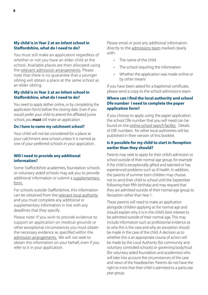### **My child is in Year 2 at an Infant school in Staffordshire, what do I need to do?**

You must still make an application regardless of whether or not you have an elder child at the school. Available places are then allocated using the [relevant admission arrangements](https://www.staffordshire.gov.uk/Education/Admissions-primary/Current-arrangements/Overview.aspx). Please note that there is no guarantee that a younger sibling will obtain a place at the same school as an elder sibling.

### **My child is in Year 2 at an Infant school in Staffordshire, what do I need to do?**

You need to apply (either online, or by completing the application form) before the closing date. Even if you would prefer your child to attend the affiliated junior school, you **must** still make an application.

### **Do I have to name my catchment school?**

Your child will not be considered for a place at your catchment area school unless it is named as one of your preferred schools in your appication.

### **Will I need to provide any additional information?**

Some Staffordshire academies, foundation schools or voluntary aided schools may ask you to provide additional information or submit a [supplementary](https://www.staffordshire.gov.uk/Education/Admissions-primary/Apply/Application-forms-for-admission-to-school.aspx)  [for](https://www.staffordshire.gov.uk/Education/Admissions-primary/Apply/Application-forms-for-admission-to-school.aspx)m.

For schools outside Staffordshire, this information can be obtained from the [relevant local authority](https://www.staffordshire.gov.uk/Education/Admissions-primary/Contacts-and-links.aspx) and you must complete any additional or supplementary information in line with any deadlines that they specify.

Please note: If you wish to provide evidence to support an application on medical grounds or other exceptional circumstances you must obtain the necessary evidence as specified within the [admission arrangements.](https://www.staffordshire.gov.uk/Education/Admissions-primary/Current-arrangements/Overview.aspx) We will not seek to obtain this information on your behalf, even if you refer to it in your application.

Please email or post any additional information directly to the [admissions team](https://www.staffordshire.gov.uk/Education/Admissions-primary/Contacts-and-links.aspx) marked clearly with:

- The name of the child
- The school requiring the information
- Whether the application was made online or by other means

If you have been asked for a baptismal certificate, please send a copy to the school admissions team.

### **Where can I find the local authority and school Dfe number I need to complete the paper application form?**

If you choose to apply using the paper application the school Dfe number that you will need can be found on the [online school search facility](https://apps2.staffordshire.gov.uk/scc/schooldetails/default.aspx) Details of DfE numbers for other local authorities will be published in their version of this booklet.

### **Is it possible for my child to start in Reception earlier than they should?**

Parents may seek to apply for their child's admission to school outside of their normal age group, for example if the child is exceptionally gifted and talented or has experienced problems such as ill health. In addition, the parents of summer born children may choose not to send their child to school until the September following their fifth birthday and may request that they are admitted outside of their normal age group to Reception rather than Year 1.

These parents will need to make an application alongside children applying at the normal age and should explain why it is in the child's best interest to be admitted outside of their normal age. This may include information such as professional evidence as to why this is the case and why an exception should be made in the case of the child. A decision as to whether this is an appropriate course of action will be made by the Local Authority (for community and voluntary controlled schools) or governing body/trust (for voluntary aided foundation and academies) who will take into account the circumstances of the case and views of the headteacher. Parents do not have the right to insist that their child is admitted to a particular year group.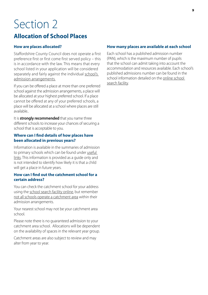### <span id="page-8-0"></span>**Allocation of School Places**

### **How are places allocated?**

Staffordshire County Council does not operate a first preference first or first come first served policy – this is in accordance with the law. This means that every school listed in your application will be considered separately and fairly against the individual school's [admission arrangements.](https://www.staffordshire.gov.uk/Education/Admissions-primary/Current-arrangements/Overview.aspx)

If you can be offered a place at more than one preferred school against the admission arrangements, a place will be allocated at your highest preferred school. If a place cannot be offered at any of your preferred schools, a place will be allocated at a school where places are still available..

It is **strongly recommended** that you name three different schools to increase your chances of securing a school that is acceptable to you.

#### **Where can I find details of how places have been allocated in previous years?**

Information is available in the summaries of admission to primary schools which can be found under [useful](#page-4-0)  [links.](#page-4-0) This information is provided as a guide only and is not intended to identify how likely it is that a child will get a place in future years.

### **How can I find out the catchment school for a certain address?**

You can check the catchment school for your address using the [school search facility o](https://apps2.staffordshire.gov.uk/scc/schooldetails/default.aspx)nline, but remember [not all schools operate a catchment area](https://www.staffordshire.gov.uk/Education/Admissions-primary/Catchment-areas.aspx) within their admission arrangements.

Your nearest school may not be your catchment area school.

Please note there is no guaranteed admission to your catchment area school. Allocations will be dependent on the availability of spaces in the relevant year group.

Catchment areas are also subject to review and may alter from year to year.

### **How many places are available at each school**

Each school has a published admission number (PAN), which is the maximum number of pupils that the school can admit taking into account the accommodation and resources available. Each school's published admissions number can be found in the school information detailed on the [online school](https://apps2.staffordshire.gov.uk/scc/schooldetails/default.aspx)  [search facility.](https://apps2.staffordshire.gov.uk/scc/schooldetails/default.aspx)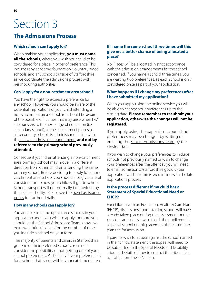### <span id="page-9-0"></span>**The Admissions Process**

### **Which schools can I apply for?**

When making your application, **you must name all the schools**, where you wish your child to be considered for a place in order of preference. This includes any academy, foundation, voluntary aided schools, and any schools outside of Staffordshire as we coordinate the admissions process with [neighbouring authorities](https://www.staffordshire.gov.uk/Education/Admissions-primary/Contacts-and-links.aspx).

### **Can I apply for a non-catchment area school?**

You have the right to express a preference for any school. However, you should be aware of the potential implications of your child attending a non-catchment area school. You should be aware of the possible difficulties that may arise when he/ she transfers to the next stage of education (i.e. secondary school), as the allocation of places to all secondary schools is administered in line with the [relevant admission arrangements](https://www.staffordshire.gov.uk/Education/Admissions-primary/Current-arrangements/Overview.aspx) **and not by reference to the primary school previously attended.**

Consequently, children attending a non-catchment area primary school may move in a different direction from other children attending the same primary school. Before deciding to apply for a noncatchment area school you should also give careful consideration to how your child will get to school. School transport will not normally be provided by the local authority. Please see the travel assistance [policy](https://www.staffordshire.gov.uk/Education/Schooltransport/Under-16s/Overview.aspx) for further details.

### **How many schools can I apply for?**

You are able to name up to three schools in your application and if you wish to apply for more you should let the [School Admissions Team](https://www.staffordshire.gov.uk/Education/Admissions-primary/Contacts-and-links.aspx) know. No extra weighting is given for the number of times you include a school on your form.

The majority of parents and carers in Staffordshire get one of their preferred schools. You must consider the possibility of not getting one of your school preferences. Particularly if your preference is for a school that is not within your catchment area.

### **If I name the same school three times will this give me a better chance of being allocated a place?**

No. Places will be allocated in strict accordance with the [admission arrangements](https://www.staffordshire.gov.uk/Education/Admissions-primary/Current-arrangements/Overview.aspx) for the school concerned. If you name a school three times, you are wasting two preferences, as each school is only considered once as part of your application.

### **What happens if I change my preferences after I have submitted my application?**

When you apply using the online service you will be able to change your preferences up to the closing date. **Please remember to resubmit your application, otherwise the changes will not be registered.**

If you apply using the paper form, your school preferences may be changed by writing or emailing the [School Admissions Team](https://www.staffordshire.gov.uk/Education/Admissions-primary/Contacts-and-links.aspx) by the closing date.

If you wish to change your preferences to include schools not previously named or wish to change your preferences after the offer day you will need to email admissions@staffordshire.gov.uk, your application will be administered in line with the late applications process.

### **Is the process different if my child has a Statement of Special Educational Need or EHCP?**

For children with an Education, Health & Care Plan (EHCP), discussions about starting school will have already taken place during the assessment or the previous annual review so that if the pupil requires a special school or unit placement there is time to plan the for admission.

If parents wish to appeal against the school named in their child's statement, the appeal will need to be submitted to the Special Needs and Disability Tribunal. Details of how to contact the tribunal are available from the SEN team.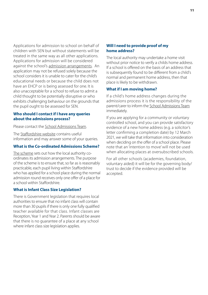Applications for admission to school on behalf of children with SEN but without statements will be treated in the same way as all other applications. Applications for admission will be considered against the school's [admission arrangements.](https://www.staffordshire.gov.uk/Education/Admissions-primary/Current-arrangements/Overview.aspx) An application may not be refused solely because the school considers it is unable to cater for the child's educational needs or because the child does not have an EHCP or is being assessed for one. It is also unacceptable for a school to refuse to admit a child thought to be potentially disruptive or who exhibits challenging behaviour on the grounds that the pupil ought to be assessed for SEN.

#### **Who should I contact if I have any queries about the admissions process?**

Please contact the [School Admissions Team.](https://www.staffordshire.gov.uk/Education/Admissions-primary/Contacts-and-links.aspx)

The [Staffordshire website](www.staffordshire.gov.uk/admissions) contains useful information and may answer some of your queries.

#### **What is the Co-ordinated Admissions Scheme?**

[The scheme](https://www.staffordshire.gov.uk/Education/Admissions-primary/Current-arrangements/Maintained-schools-latest-coordinated-scheme.aspx) sets out how the local authority coordinates its admission arrangements. The purpose of the scheme is to ensure that, so far as is reasonably practicable, each pupil living within Staffordshire who has applied for a school place during the normal admission round receives only one offer of a place for a school within Staffordshire.

#### **What is Infant Class Size Legislation?**

There is Government legislation that requires local authorities to ensure that no infant class will contain more than 30 pupils if there is only one fully qualified teacher available for that class. Infant classes are Reception, Year 1 and Year 2. Parents should be aware that there is no guarantee of a place at any school where infant class size legislation applies.

#### **Will I need to provide proof of my home address?**

The local authority may undertake a home visit without prior notice to verify a childs home address. If a school is offered on the basis of an address that is subsequently found to be different from a child's normal and permanent home address, then that place is likely to be withdrawn.

#### **What if I am moving home?**

If a child's home address changes during the admissions process it is the responsibility of the parent/carer to inform the [School Admissions Team](https://www.staffordshire.gov.uk/Education/Admissions-primary/Contacts-and-links.aspx) immediately.

If you are applying for a community or voluntary controlled school, and you can provide satisfactory evidence of a new home address (e.g. a solicitor's letter confirming a completion date) by 12 March 2021, we will take that information into consideration when deciding on the offer of a school place. Please note that an 'intention to move' will not be used when allocating places at oversubscribed schools.

For all other schools (academies, foundation, voluntary aided) it will be for the governing body/ trust to decide if the evidence provided will be accepted.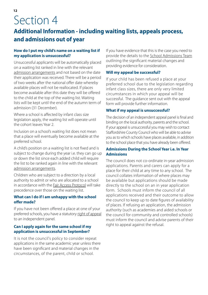### <span id="page-11-0"></span>**Additional Information - including waiting lists, appeals process, and admissions out of year**

### **How do I put my child's name on a waiting list if my application is unsuccessful?**

Unsuccessful applicants will be automatically placed on a waiting list ranked in line with the relevant [admission arrangements](https://www.staffordshire.gov.uk/Education/Admissions-primary/Current-arrangements/Overview.aspx) and not based on the date their application was received. There will be a period of two weeks after the national offer date whereby available places will not be reallocated. If places become available after this date they will be offered to the child at the top of the waiting list. Waiting lists will be kept until the end of the autumn term of admission (31 December).

Where a school is affected by infant class size legislation apply, the waiting list will operate until the cohort leaves Year 2.

Inclusion on a school's waiting list does not mean that a place will eventually become available at the preferred school.

A child's position on a waiting list is not fixed and is subject to change during the year i.e. they can go up or down the list since each added child will require the list to be ranked again in line with the relevant [admission arrangements.](https://www.staffordshire.gov.uk/Education/Admissions-primary/Current-arrangements/Overview.aspx)

Children who are subject to a direction by a local authority to admit or who are allocated to a school in accordance with the [Fair Access Protocol](https://www.staffordshire.gov.uk/Education/Admissions-primary/In-year/In-year-fair-access-protocol.aspx) will take precedence over those on the waiting list.

### **What can I do if I am unhappy with the school offer made?**

If you have not been offered a place at one of your preferred schools, you have a statutory [right of appeal](https://www.staffordshire.gov.uk/Education/Admissionappeals/home.aspx) to an independent panel.

### **Can I apply again for the same school if my application is unsuccessful in September?**

It is not the council's policy to consider repeat applications in the same academic year unless there have been significant and material changes in the circumstances, of the parent, child or school.

If you have evidence that this is the case you need to provide the details to the [School Admissions Team](https://www.staffordshire.gov.uk/Education/Admissions-primary/Contacts-and-links.aspx) outlining the significant material changes and providing evidence for consideration.

### **Will my appeal be successful?**

If your child has been refused a place at your preferred school due to the legislation regarding infant class sizes, there are only very limited circumstances in which your appeal will be successful. The guidance sent out with the appeal form will provide further information.

### **What if my appeal is unsuccessful?**

The decision of an independent appeal panel is final and binding on the local authority, parents and the school. If your appeal is unsuccessful you may wish to contact Staffordshire County Council who will be able to advise you as to which schools have places available, in addition to the school place that you have already been offered.

### **Admissions During the School Year i.e. In Year Admissions**

The council does not co-ordinate in-year admission applications. Parents and carers can apply for a place for their child at any time to any school. The council collates information of where places may be available but applications should be made directly to the school on an in year application form. Schools must inform the council of all applications received and their outcome to allow the council to keep up to date figures of availability of places. If refusing an application, the admission authority (such as academies and aided schools or the council for community and controlled schools) must inform the council and advise parents of their right to appeal against the refusal.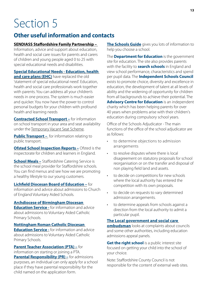### <span id="page-12-0"></span>**Other useful information and contacts**

### **[SENDIASS Staffordshire Family Partnership –](https://www.staffs-iass.org/home.aspx)**

Information, advice and support about education, health and social care issues for parents and carers of children and young people aged 0 to 25 with special educational needs and disabilities.

**[Special Educational Needs - Education, health](https://www.staffordshireconnects.info/kb5/staffordshire/directory/localoffer.page?localofferchannel=0)  [and care plans \(EHC\)](https://www.staffordshireconnects.info/kb5/staffordshire/directory/localoffer.page?localofferchannel=0)** have replaced the old 'statement of special educational need'. Education, health and social care professionals work together with parents. You can address all your children's needs in one process. The system is much easier and quicker. You now have the power to control personal budgets for your children with profound health and learning needs

**[Contracted School Transport](https://www.staffordshire.gov.uk/Education/Schooltransport/Enquiries.aspx) –** for information on school transport in your area and seat availability under the [Temporary Vacant Seat Scheme.](https://www.staffordshire.gov.uk/Education/Schooltransport/VacantSeats/temporaryvacantseatscheme.aspx)

**[Public Transport](https://www.staffordshire.gov.uk/Transport/buses/Plan-your-journey/Plan.aspx) -** for information relating to public transport.

**[Ofsted School Inspection Reports –](https://reports.ofsted.gov.uk/) Ofsted is the** inspectorate for children and learners in England.

**[School Meals –](https://www.staffordshire.gov.uk/Education/Schoolsandcolleges/School-meals/Overview.aspx)** Staffordshire Catering Service is the school meal provider for Staffordshire schools. You can find menus and see how we are promoting a healthy lifestyle to our young customers.

**[Lichfield Diocesan Board of Education –](https://www.lichfield.anglican.org/lichfield_diocesan_board_of_education/)** for information and advice about admissions to Church of England Voluntary Aided Schools.

### **[Archdiocese of Birmingham Diocesan](https://www.bdes.org.uk)**

**[Education Service](https://www.bdes.org.uk) -** for information and advice about admissions to Voluntary Aided Catholic Primary Schools.

**[Nottingham Roman Catholic Diocesan](http://www.dioceseofnottingham.uk/education)  [Education Service](http://www.dioceseofnottingham.uk/education) -** for information and advice about admissions to Voluntary Aided Catholic Primary Schools.

**[Parent Teacher Association \(PTA\)](https://www.pta.org) –** for information on starting or joining a PTA. **[Parental Responsibility \(PR\)](https://www.gov.uk/parental-rights-responsibilities/what-is-parental-responsibility) –** for admissions purposes, an individual can only apply for a school place if they have parental responsibility for the child named on the application form.

**[The Schools Guide](https://apps2.staffordshire.gov.uk/scc/schooldetails/default.aspx)** gives you lots of information to help you choose a school.

The **[Department for Education](https://www.gov.uk/government/organisations/department-for-education)** is the government site for education. The site also provides parents with the facility to **[search schools](https://www.gov.uk/school-performance-tables)** in England and view school performance, characteristics and spend per pupil data. The **[Independent Schools Council](https://www.isc.co.uk/)** exists to promote choice, diversity and excellence in education, the development of talent at all levels of ability and the widening of opportunity for children from all backgrounds to achieve their potential. The **[Advisory Centre for Education](http://www.ace-ed.org.uk)** is an independent charity which has been helping parents for over 40 years when problems arise with their children's education during compulsory school years.

Office of the Schools Adjudicator - The main functions of the office of the school adjudicator are as follows:

- to determine objections to admission arrangements
- to resolve disputes where there is local disagreement on statutory proposals for school reorganisation or on the transfer and disposal of non playing field land and assets.
- to decide on competitions for new schools where the local authority has entered the competition with its own proposals.
- to decide on requests to vary determined admission arrangements.
- to determine appeals from schools against a direction from the local authority to admit a particular pupil.

### **[The Local government and social care](https://www.lgo.org.uk/http://)**

**[ombudsman](https://www.lgo.org.uk/http://)** looks at complaints about councils and some other authorities, including education admissions appeal panels.

**[Get the right school](www.gettherightschool.co.uk/)** is a public interest site focused on getting your child into the school of your choice.

Note: Staffordshire County Council is not responsible for the content of external web sites.